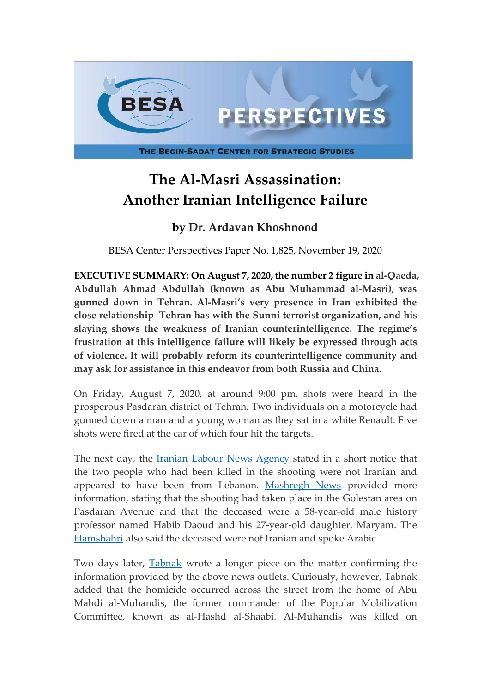

## **The Al-Masri Assassination: Another Iranian Intelligence Failure**

## **by Dr. Ardavan Khoshnood**

BESA Center Perspectives Paper No. 1,825, November 19, 2020

**EXECUTIVE SUMMARY: On August 7, 2020, the number 2 figure in al-Qaeda, Abdullah Ahmad Abdullah (known as Abu Muhammad al-Masri), was gunned down in Tehran. Al-Masri's very presence in Iran exhibited the close relationship Tehran has with the Sunni terrorist organization, and his slaying shows the weakness of Iranian counterintelligence. The regime's frustration at this intelligence failure will likely be expressed through acts of violence. It will probably reform its counterintelligence community and may ask for assistance in this endeavor from both Russia and China.**

On Friday, August 7, 2020, at around 9:00 pm, shots were heard in the prosperous Pasdaran district of Tehran. Two individuals on a motorcycle had gunned down a man and a young woman as they sat in a white Renault. Five shots were fired at the car of which four hit the targets.

The next day, the [Iranian Labour News Agency](https://www.ilna.news/%D8%A8%D8%AE%D8%B4-%D8%A7%D8%AC%D8%AA%D9%85%D8%A7%D8%B9%DB%8C-5/950857-%DA%A9%D8%B4%D8%AA%D9%87-%D8%B4%D8%AF%D9%86-%D8%AF%D9%88-%D9%86%D9%81%D8%B1-%D8%A8%D8%B1-%D8%A7%D8%AB%D8%B1-%D8%AA%DB%8C%D8%B1%D8%A7%D9%86%D8%AF%D8%A7%D8%B2%DB%8C-%D8%AF%D8%B1-%D8%AE%DB%8C%D8%A7%D8%A8%D8%A7%D9%86-%D9%BE%D8%A7%D8%B3%D8%AF%D8%A7%D8%B1%D8%A7%D9%86) stated in a short notice that the two people who had been killed in the shooting were not Iranian and appeared to have been from Lebanon. [Mashregh News](https://www.mashreghnews.ir/news/1104141/%D8%A2%D8%AE%D8%B1%DB%8C%D9%86-%D8%AC%D8%B2%D8%A6%DB%8C%D8%A7%D8%AA-%D9%82%D8%AA%D9%84-%DB%8C%DA%A9-%D9%BE%D8%AF%D8%B1-%D9%88-%D8%AF%D8%AE%D8%AA%D8%B1-%D8%AF%D8%B1-%D8%AE%DB%8C%D8%A7%D8%A8%D8%A7%D9%86-%D9%BE%D8%A7%D8%B3%D8%AF%D8%A7%D8%B1%D8%A7%D9%86) provided more information, stating that the shooting had taken place in the Golestan area on Pasdaran Avenue and that the deceased were a 58-year-old male history professor named Habib Daoud and his 27-year-old daughter, Maryam. The [Hamshahri](https://www.hamshahrionline.ir/news/538301/%D9%82%D8%AA%D9%84-%D9%BE%D8%AF%D8%B1-%D9%88-%D8%AF%D8%AE%D8%AA%D8%B1-%D9%84%D8%A8%D9%86%D8%A7%D9%86%DB%8C-%D8%AF%D8%B1-%D8%AE%DB%8C%D8%A7%D8%A8%D8%A7%D9%86-%D9%BE%D8%A7%D8%B3%D8%AF%D8%A7%D8%B1%D8%A7%D9%86-%D8%AA%D9%87%D8%B1%D8%A7%D9%86) also said the deceased were not Iranian and spoke Arabic.

Two days later, [Tabnak](https://www.tabnak.ir/fa/news/995431/%D9%85%D8%A7%D8%AC%D8%B1%D8%A7%DB%8C-%D8%B4%D9%84%DB%8C%DA%A9-%D8%AF%D8%B1-%D8%AE%DB%8C%D8%A7%D8%A8%D8%A7%D9%86-%D9%BE%D8%A7%D8%B3%D8%AF%D8%A7%D8%B1%D8%A7%D9%86-%DA%86%D9%87-%D8%A8%D9%88%D8%AF) wrote a longer piece on the matter confirming the information provided by the above news outlets. Curiously, however, Tabnak added that the homicide occurred across the street from the home of Abu Mahdi al-Muhandis, the former commander of the Popular Mobilization Committee, known as al-Hashd al-Shaabi. Al-Muhandis was killed on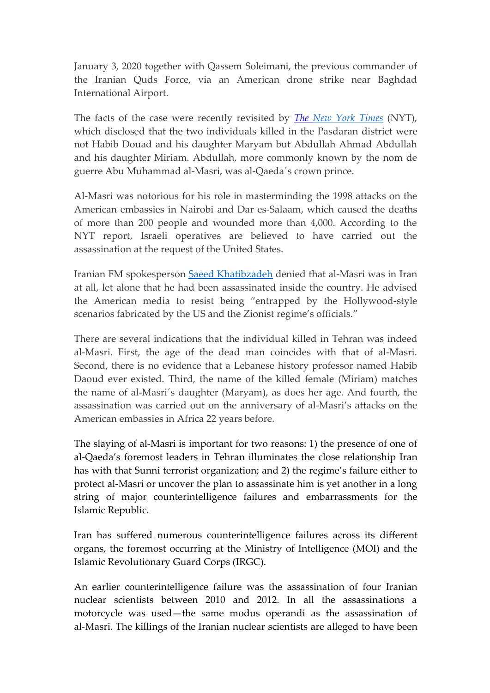January 3, 2020 together with Qassem Soleimani, the previous commander of the Iranian Quds Force, via an American drone strike near Baghdad International Airport.

The facts of the case were recently revisited by *The [New York Times](https://www.nytimes.com/2020/11/13/world/middleeast/al-masri-abdullah-qaeda-dead.html)* (NYT), which disclosed that the two individuals killed in the Pasdaran district were not Habib Douad and his daughter Maryam but Abdullah Ahmad Abdullah and his daughter Miriam. Abdullah, more commonly known by the nom de guerre Abu Muhammad al-Masri, was al-Qaeda´s crown prince.

Al-Masri was notorious for his role in masterminding the 1998 attacks on the American embassies in Nairobi and Dar es-Salaam, which caused the deaths of more than 200 people and wounded more than 4,000. According to the NYT report, Israeli operatives are believed to have carried out the assassination at the request of the United States.

Iranian FM spokesperson [Saeed Khatibzadeh](https://en.mfa.ir/portal/NewsView/617038) denied that al-Masri was in Iran at all, let alone that he had been assassinated inside the country. He advised the American media to resist being "entrapped by the Hollywood-style scenarios fabricated by the US and the Zionist regime's officials."

There are several indications that the individual killed in Tehran was indeed al-Masri. First, the age of the dead man coincides with that of al-Masri. Second, there is no evidence that a Lebanese history professor named Habib Daoud ever existed. Third, the name of the killed female (Miriam) matches the name of al-Masri´s daughter (Maryam), as does her age. And fourth, the assassination was carried out on the anniversary of al-Masri's attacks on the American embassies in Africa 22 years before.

The slaying of al-Masri is important for two reasons: 1) the presence of one of al-Qaeda's foremost leaders in Tehran illuminates the close relationship Iran has with that Sunni terrorist organization; and 2) the regime's failure either to protect al-Masri or uncover the plan to assassinate him is yet another in a long string of major counterintelligence failures and embarrassments for the Islamic Republic.

Iran has suffered numerous counterintelligence failures across its different organs, the foremost occurring at the Ministry of Intelligence (MOI) and the Islamic Revolutionary Guard Corps (IRGC).

An earlier counterintelligence failure was the assassination of four Iranian nuclear scientists between 2010 and 2012. In all the assassinations a motorcycle was used—the same modus operandi as the assassination of al-Masri. The killings of the Iranian nuclear scientists are alleged to have been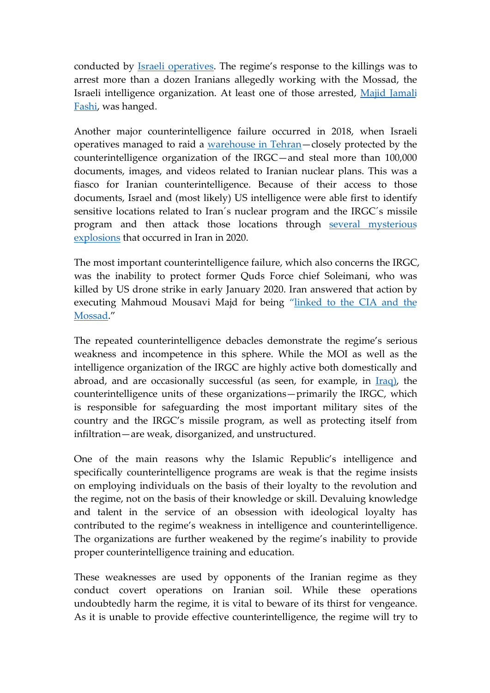conducted by [Israeli operatives.](https://world.time.com/2013/02/13/spy-fail-why-iran-is-losing-its-covert-war-with-israel/) The regime's response to the killings was to arrest more than a dozen Iranians allegedly working with the Mossad, the Israeli intelligence organization. At least one of those arrested, [Majid Jamali](https://www.independent.co.uk/news/world/middle-east/iran-hangs-mossad-spy-majid-jamali-fashi-killing-scientist-7754332.html) Fashi, was hanged.

Another major counterintelligence failure occurred in 2018, when Israeli operatives managed to raid a [warehouse in Tehran](https://www.businessinsider.com/how-did-mossad-steal-thousands-of-nuclear-documents-from-iran-2018-5?r=US&IR=T)—closely protected by the counterintelligence organization of the IRGC—and steal more than 100,000 documents, images, and videos related to Iranian nuclear plans. This was a fiasco for Iranian counterintelligence. Because of their access to those documents, Israel and (most likely) US intelligence were able first to identify sensitive locations related to Iran´s nuclear program and the IRGC´s missile program and then attack those locations through [several mysterious](https://www.forbes.com/sites/davidhambling/2020/07/27/who---and-what---is-causing-explosions-in-iran/) explosions that occurred in Iran in 2020.

The most important counterintelligence failure, which also concerns the IRGC, was the inability to protect former Quds Force chief Soleimani, who was killed by US drone strike in early January 2020. Iran answered that action by executing Mahmoud Mousavi Majd for being ["linked to the CIA and the](https://apnews.com/article/3739d528a05f2bdb2b65e20bfe753c9c) Mossad."

The repeated counterintelligence debacles demonstrate the regime's serious weakness and incompetence in this sphere. While the MOI as well as the intelligence organization of the IRGC are highly active both domestically and abroad, and are occasionally successful (as seen, for example, in  $Iraq$ ), the counterintelligence units of these organizations—primarily the IRGC, which is responsible for safeguarding the most important military sites of the country and the IRGC's missile program, as well as protecting itself from infiltration—are weak, disorganized, and unstructured.

One of the main reasons why the Islamic Republic's intelligence and specifically counterintelligence programs are weak is that the regime insists on employing individuals on the basis of their loyalty to the revolution and the regime, not on the basis of their knowledge or skill. Devaluing knowledge and talent in the service of an obsession with ideological loyalty has contributed to the regime's weakness in intelligence and counterintelligence. The organizations are further weakened by the regime's inability to provide proper counterintelligence training and education.

These weaknesses are used by opponents of the Iranian regime as they conduct covert operations on Iranian soil. While these operations undoubtedly harm the regime, it is vital to beware of its thirst for vengeance. As it is unable to provide effective counterintelligence, the regime will try to